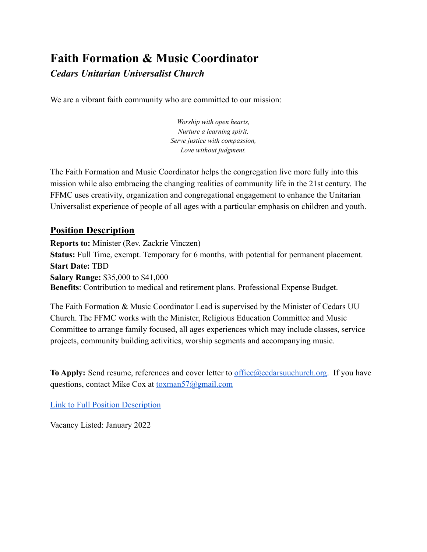# **Faith Formation & Music Coordinator**

### *Cedars Unitarian Universalist Church*

We are a vibrant faith community who are committed to our mission:

*Worship with open hearts, Nurture a learning spirit, Serve justice with compassion, Love without judgment.*

The Faith Formation and Music Coordinator helps the congregation live more fully into this mission while also embracing the changing realities of community life in the 21st century. The FFMC uses creativity, organization and congregational engagement to enhance the Unitarian Universalist experience of people of all ages with a particular emphasis on children and youth.

#### **Position Description**

**Reports to:** Minister (Rev. Zackrie Vinczen) **Status:** Full Time, exempt. Temporary for 6 months, with potential for permanent placement. **Start Date:** TBD **Salary Range:** \$35,000 to \$41,000 **Benefits**: Contribution to medical and retirement plans. Professional Expense Budget.

The Faith Formation & Music Coordinator Lead is supervised by the Minister of Cedars UU Church. The FFMC works with the Minister, Religious Education Committee and Music Committee to arrange family focused, all ages experiences which may include classes, service projects, community building activities, worship segments and accompanying music.

**To Apply:** Send resume, references and cover letter to [office@cedarsuuchurch.org](mailto:office@cedarsuuchurch.org). If you have questions, contact Mike Cox at [toxman57@gmail.com](mailto:toxman57@gmail.com)

[Link to Full Position Description](https://www.cedarsuuchurch.org/careers-and-job-opportunities/faith-formation-music-coordinator/)

Vacancy Listed: January 2022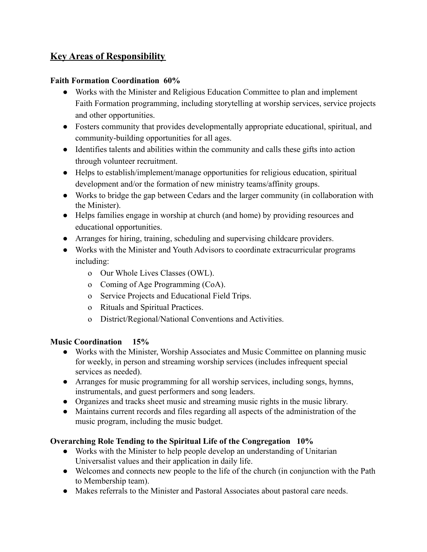# **Key Areas of Responsibility**

#### **Faith Formation Coordination 60%**

- Works with the Minister and Religious Education Committee to plan and implement Faith Formation programming, including storytelling at worship services, service projects and other opportunities.
- Fosters community that provides developmentally appropriate educational, spiritual, and community-building opportunities for all ages.
- Identifies talents and abilities within the community and calls these gifts into action through volunteer recruitment.
- Helps to establish/implement/manage opportunities for religious education, spiritual development and/or the formation of new ministry teams/affinity groups.
- Works to bridge the gap between Cedars and the larger community (in collaboration with the Minister).
- Helps families engage in worship at church (and home) by providing resources and educational opportunities.
- Arranges for hiring, training, scheduling and supervising childcare providers.
- Works with the Minister and Youth Advisors to coordinate extracurricular programs including:
	- o Our Whole Lives Classes (OWL).
	- o Coming of Age Programming (CoA).
	- o Service Projects and Educational Field Trips.
	- o Rituals and Spiritual Practices.
	- o District/Regional/National Conventions and Activities.

#### **Music Coordination 15%**

- Works with the Minister, Worship Associates and Music Committee on planning music for weekly, in person and streaming worship services (includes infrequent special services as needed).
- Arranges for music programming for all worship services, including songs, hymns, instrumentals, and guest performers and song leaders.
- Organizes and tracks sheet music and streaming music rights in the music library.
- Maintains current records and files regarding all aspects of the administration of the music program, including the music budget.

#### **Overarching Role Tending to the Spiritual Life of the Congregation 10%**

- Works with the Minister to help people develop an understanding of Unitarian Universalist values and their application in daily life.
- Welcomes and connects new people to the life of the church (in conjunction with the Path to Membership team).
- Makes referrals to the Minister and Pastoral Associates about pastoral care needs.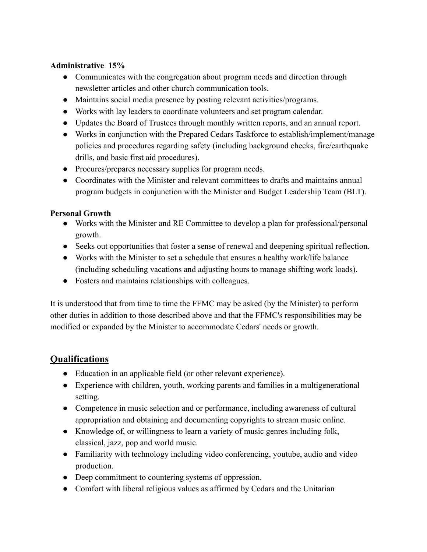#### **Administrative 15%**

- Communicates with the congregation about program needs and direction through newsletter articles and other church communication tools.
- Maintains social media presence by posting relevant activities/programs.
- Works with lay leaders to coordinate volunteers and set program calendar.
- Updates the Board of Trustees through monthly written reports, and an annual report.
- Works in conjunction with the Prepared Cedars Taskforce to establish/implement/manage policies and procedures regarding safety (including background checks, fire/earthquake drills, and basic first aid procedures).
- Procures/prepares necessary supplies for program needs.
- Coordinates with the Minister and relevant committees to drafts and maintains annual program budgets in conjunction with the Minister and Budget Leadership Team (BLT).

#### **Personal Growth**

- Works with the Minister and RE Committee to develop a plan for professional/personal growth.
- Seeks out opportunities that foster a sense of renewal and deepening spiritual reflection.
- Works with the Minister to set a schedule that ensures a healthy work/life balance (including scheduling vacations and adjusting hours to manage shifting work loads).
- Fosters and maintains relationships with colleagues.

It is understood that from time to time the FFMC may be asked (by the Minister) to perform other duties in addition to those described above and that the FFMC's responsibilities may be modified or expanded by the Minister to accommodate Cedars' needs or growth.

## **Qualifications**

- Education in an applicable field (or other relevant experience).
- Experience with children, youth, working parents and families in a multigenerational setting.
- Competence in music selection and or performance, including awareness of cultural appropriation and obtaining and documenting copyrights to stream music online.
- Knowledge of, or willingness to learn a variety of music genres including folk, classical, jazz, pop and world music.
- Familiarity with technology including video conferencing, youtube, audio and video production.
- Deep commitment to countering systems of oppression.
- Comfort with liberal religious values as affirmed by Cedars and the Unitarian